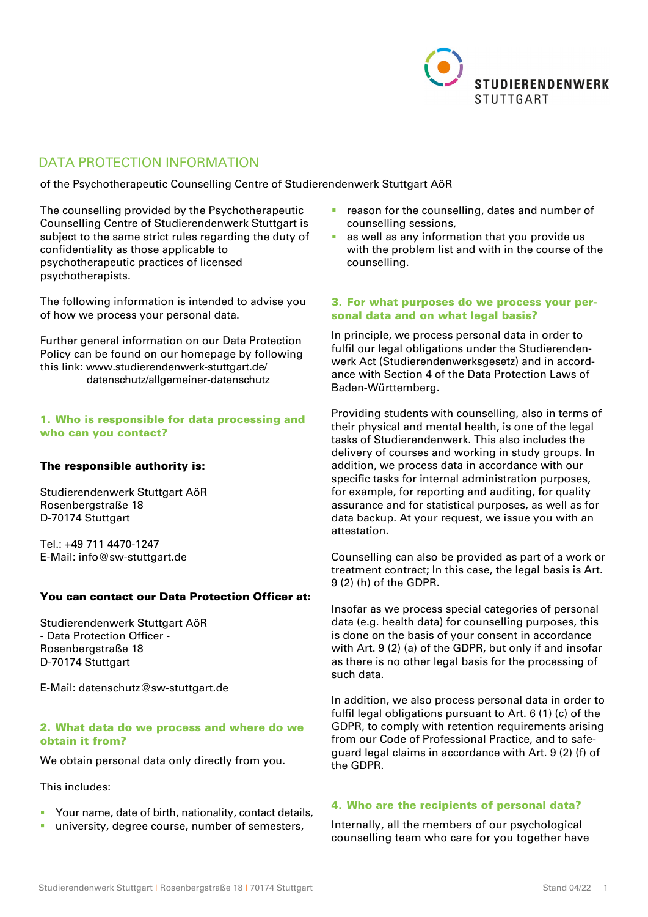

# DATA PROTECTION INFORMATION

of the Psychotherapeutic Counselling Centre of Studierendenwerk Stuttgart AöR

The counselling provided by the Psychotherapeutic Counselling Centre of Studierendenwerk Stuttgart is subject to the same strict rules regarding the duty of confidentiality as those applicable to psychotherapeutic practices of licensed psychotherapists.

The following information is intended to advise you of how we process your personal data.

Further general information on our Data Protection Policy can be found on our homepage by following this link: www.studierendenwerk-stuttgart.de/ datenschutz/allgemeiner-datenschutz

### 1. Who is responsible for data processing and who can you contact?

### The responsible authority is:

Studierendenwerk Stuttgart AöR Rosenbergstraße 18 D-70174 Stuttgart

Tel.: +49 711 4470-1247 E-Mail: info@sw-stuttgart.de

#### You can contact our Data Protection Officer at:

Studierendenwerk Stuttgart AöR - Data Protection Officer - Rosenbergstraße 18 D-70174 Stuttgart

E-Mail: datenschutz@sw-stuttgart.de

#### 2. What data do we process and where do we obtain it from?

We obtain personal data only directly from you.

### This includes:

- **Your name, date of birth, nationality, contact details,**
- university, degree course, number of semesters,
- reason for the counselling, dates and number of counselling sessions,
- as well as any information that you provide us with the problem list and with in the course of the counselling.

### 3. For what purposes do we process your personal data and on what legal basis?

In principle, we process personal data in order to fulfil our legal obligations under the Studierendenwerk Act (Studierendenwerksgesetz) and in accordance with Section 4 of the Data Protection Laws of Baden-Württemberg.

Providing students with counselling, also in terms of their physical and mental health, is one of the legal tasks of Studierendenwerk. This also includes the delivery of courses and working in study groups. In addition, we process data in accordance with our specific tasks for internal administration purposes, for example, for reporting and auditing, for quality assurance and for statistical purposes, as well as for data backup. At your request, we issue you with an attestation.

Counselling can also be provided as part of a work or treatment contract; In this case, the legal basis is Art. 9 (2) (h) of the GDPR.

Insofar as we process special categories of personal data (e.g. health data) for counselling purposes, this is done on the basis of your consent in accordance with Art. 9 (2) (a) of the GDPR, but only if and insofar as there is no other legal basis for the processing of such data.

In addition, we also process personal data in order to fulfil legal obligations pursuant to Art. 6 (1) (c) of the GDPR, to comply with retention requirements arising from our Code of Professional Practice, and to safeguard legal claims in accordance with Art. 9 (2) (f) of the GDPR.

# 4. Who are the recipients of personal data?

Internally, all the members of our psychological counselling team who care for you together have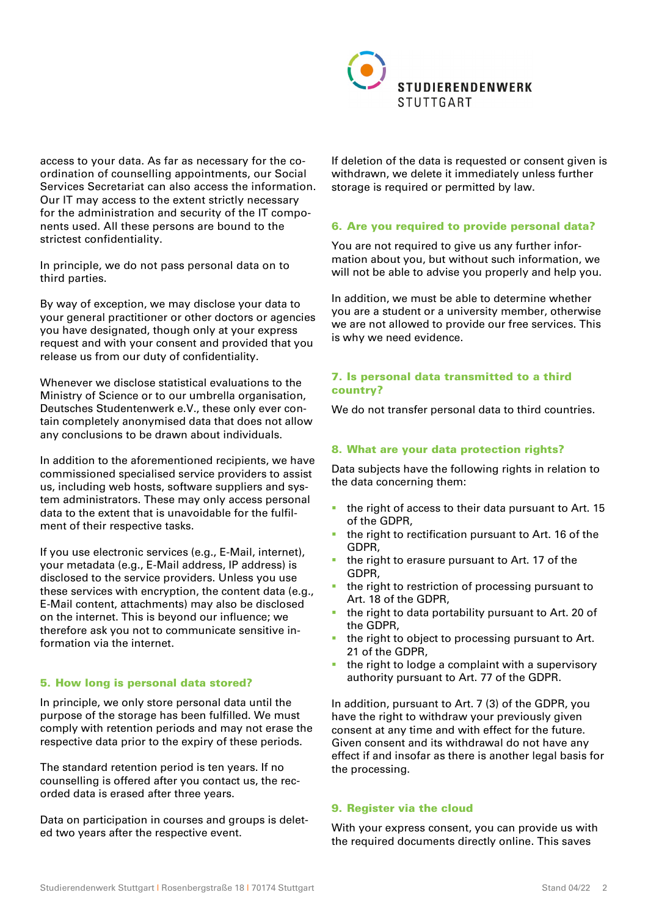

access to your data. As far as necessary for the coordination of counselling appointments, our Social Services Secretariat can also access the information. Our IT may access to the extent strictly necessary for the administration and security of the IT components used. All these persons are bound to the strictest confidentiality.

In principle, we do not pass personal data on to third parties.

By way of exception, we may disclose your data to your general practitioner or other doctors or agencies you have designated, though only at your express request and with your consent and provided that you release us from our duty of confidentiality.

Whenever we disclose statistical evaluations to the Ministry of Science or to our umbrella organisation, Deutsches Studentenwerk e.V., these only ever contain completely anonymised data that does not allow any conclusions to be drawn about individuals.

In addition to the aforementioned recipients, we have commissioned specialised service providers to assist us, including web hosts, software suppliers and system administrators. These may only access personal data to the extent that is unavoidable for the fulfilment of their respective tasks.

If you use electronic services (e.g., E-Mail, internet), your metadata (e.g., E-Mail address, IP address) is disclosed to the service providers. Unless you use these services with encryption, the content data (e.g., E-Mail content, attachments) may also be disclosed on the internet. This is beyond our influence; we therefore ask you not to communicate sensitive information via the internet.

#### 5. How long is personal data stored?

In principle, we only store personal data until the purpose of the storage has been fulfilled. We must comply with retention periods and may not erase the respective data prior to the expiry of these periods.

The standard retention period is ten years. If no counselling is offered after you contact us, the recorded data is erased after three years.

Data on participation in courses and groups is deleted two years after the respective event.

If deletion of the data is requested or consent given is withdrawn, we delete it immediately unless further storage is required or permitted by law.

# 6. Are you required to provide personal data?

You are not required to give us any further information about you, but without such information, we will not be able to advise you properly and help you.

In addition, we must be able to determine whether you are a student or a university member, otherwise we are not allowed to provide our free services. This is why we need evidence.

# 7. Is personal data transmitted to a third country?

We do not transfer personal data to third countries.

# 8. What are your data protection rights?

Data subjects have the following rights in relation to the data concerning them:

- the right of access to their data pursuant to Art. 15 of the GDPR,
- $\blacksquare$  the right to rectification pursuant to Art. 16 of the GDPR,
- **the right to erasure pursuant to Art. 17 of the** GDPR,
- the right to restriction of processing pursuant to Art. 18 of the GDPR,
- the right to data portability pursuant to Art. 20 of the GDPR,
- the right to object to processing pursuant to Art. 21 of the GDPR,
- $\blacksquare$  the right to lodge a complaint with a supervisory authority pursuant to Art. 77 of the GDPR.

In addition, pursuant to Art. 7 (3) of the GDPR, you have the right to withdraw your previously given consent at any time and with effect for the future. Given consent and its withdrawal do not have any effect if and insofar as there is another legal basis for the processing.

### 9. Register via the cloud

With your express consent, you can provide us with the required documents directly online. This saves